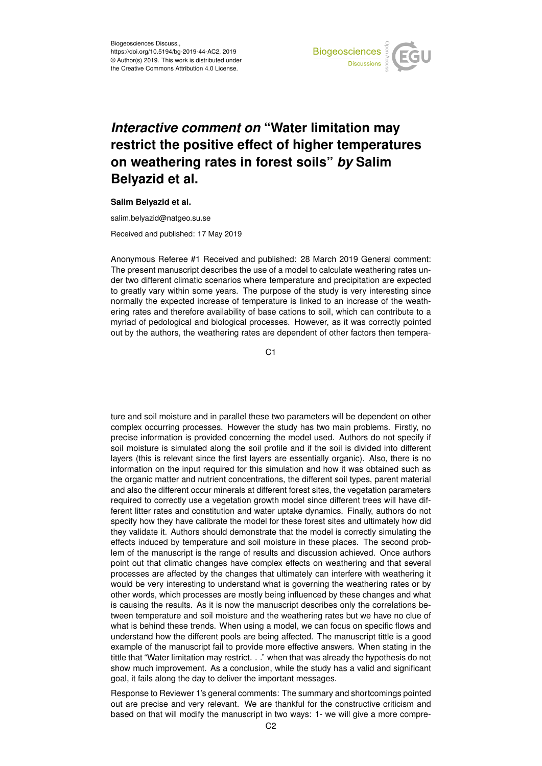

## *Interactive comment on* **"Water limitation may restrict the positive effect of higher temperatures on weathering rates in forest soils"** *by* **Salim Belyazid et al.**

## **Salim Belyazid et al.**

salim.belyazid@natgeo.su.se

Received and published: 17 May 2019

Anonymous Referee #1 Received and published: 28 March 2019 General comment: The present manuscript describes the use of a model to calculate weathering rates under two different climatic scenarios where temperature and precipitation are expected to greatly vary within some years. The purpose of the study is very interesting since normally the expected increase of temperature is linked to an increase of the weathering rates and therefore availability of base cations to soil, which can contribute to a myriad of pedological and biological processes. However, as it was correctly pointed out by the authors, the weathering rates are dependent of other factors then tempera-

 $C<sub>1</sub>$ 

ture and soil moisture and in parallel these two parameters will be dependent on other complex occurring processes. However the study has two main problems. Firstly, no precise information is provided concerning the model used. Authors do not specify if soil moisture is simulated along the soil profile and if the soil is divided into different layers (this is relevant since the first layers are essentially organic). Also, there is no information on the input required for this simulation and how it was obtained such as the organic matter and nutrient concentrations, the different soil types, parent material and also the different occur minerals at different forest sites, the vegetation parameters required to correctly use a vegetation growth model since different trees will have different litter rates and constitution and water uptake dynamics. Finally, authors do not specify how they have calibrate the model for these forest sites and ultimately how did they validate it. Authors should demonstrate that the model is correctly simulating the effects induced by temperature and soil moisture in these places. The second problem of the manuscript is the range of results and discussion achieved. Once authors point out that climatic changes have complex effects on weathering and that several processes are affected by the changes that ultimately can interfere with weathering it would be very interesting to understand what is governing the weathering rates or by other words, which processes are mostly being influenced by these changes and what is causing the results. As it is now the manuscript describes only the correlations between temperature and soil moisture and the weathering rates but we have no clue of what is behind these trends. When using a model, we can focus on specific flows and understand how the different pools are being affected. The manuscript tittle is a good example of the manuscript fail to provide more effective answers. When stating in the tittle that "Water limitation may restrict. . ." when that was already the hypothesis do not show much improvement. As a conclusion, while the study has a valid and significant goal, it fails along the day to deliver the important messages.

Response to Reviewer 1's general comments: The summary and shortcomings pointed out are precise and very relevant. We are thankful for the constructive criticism and based on that will modify the manuscript in two ways: 1- we will give a more compre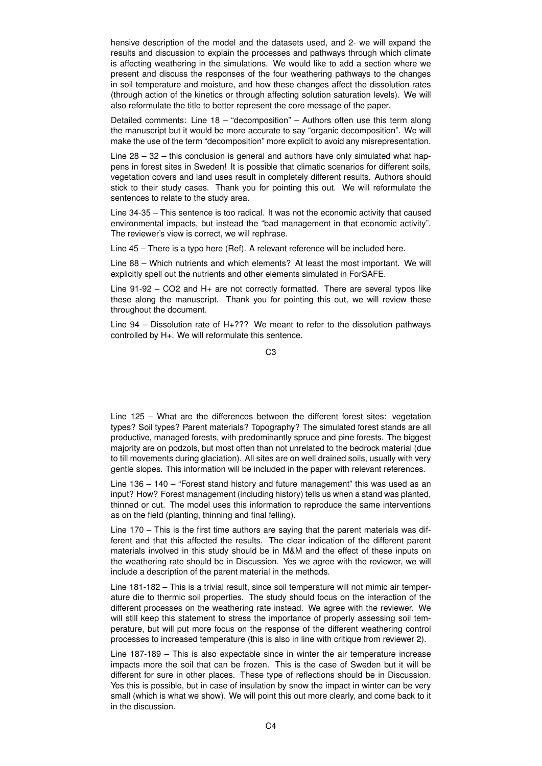hensive description of the model and the datasets used, and 2- we will expand the results and discussion to explain the processes and pathways through which climate is affecting weathering in the simulations. We would like to add a section where we present and discuss the responses of the four weathering pathways to the changes in soil temperature and moisture, and how these changes affect the dissolution rates (through action of the kinetics or through affecting solution saturation levels). We will also reformulate the title to better represent the core message of the paper.

Detailed comments: Line 18 – "decomposition" – Authors often use this term along the manuscript but it would be more accurate to say "organic decomposition". We will make the use of the term "decomposition" more explicit to avoid any misrepresentation.

Line  $28 - 32$  – this conclusion is general and authors have only simulated what happens in forest sites in Sweden! It is possible that climatic scenarios for different soils, vegetation covers and land uses result in completely different results. Authors should stick to their study cases. Thank you for pointing this out. We will reformulate the sentences to relate to the study area.

Line 34-35 – This sentence is too radical. It was not the economic activity that caused environmental impacts, but instead the "bad management in that economic activity". The reviewer's view is correct, we will rephrase.

Line 45 – There is a typo here (Ref). A relevant reference will be included here.

Line 88 – Which nutrients and which elements? At least the most important. We will explicitly spell out the nutrients and other elements simulated in ForSAFE.

Line 91-92 – CO2 and H+ are not correctly formatted. There are several typos like these along the manuscript. Thank you for pointing this out, we will review these throughout the document.

Line 94 – Dissolution rate of H+??? We meant to refer to the dissolution pathways controlled by H+. We will reformulate this sentence.

Line 125 – What are the differences between the different forest sites: vegetation types? Soil types? Parent materials? Topography? The simulated forest stands are all productive, managed forests, with predominantly spruce and pine forests. The biggest majority are on podzols, but most often than not unrelated to the bedrock material (due to till movements during glaciation). All sites are on well drained soils, usually with very gentle slopes. This information will be included in the paper with relevant references.

Line 136 – 140 – "Forest stand history and future management" this was used as an input? How? Forest management (including history) tells us when a stand was planted, thinned or cut. The model uses this information to reproduce the same interventions as on the field (planting, thinning and final felling).

Line 170 – This is the first time authors are saying that the parent materials was different and that this affected the results. The clear indication of the different parent materials involved in this study should be in M&M and the effect of these inputs on the weathering rate should be in Discussion. Yes we agree with the reviewer, we will include a description of the parent material in the methods.

Line 181-182 – This is a trivial result, since soil temperature will not mimic air temperature die to thermic soil properties. The study should focus on the interaction of the different processes on the weathering rate instead. We agree with the reviewer. We will still keep this statement to stress the importance of properly assessing soil temperature, but will put more focus on the response of the different weathering control processes to increased temperature (this is also in line with critique from reviewer 2).

Line 187-189 – This is also expectable since in winter the air temperature increase impacts more the soil that can be frozen. This is the case of Sweden but it will be different for sure in other places. These type of reflections should be in Discussion. Yes this is possible, but in case of insulation by snow the impact in winter can be very small (which is what we show). We will point this out more clearly, and come back to it in the discussion.

C3